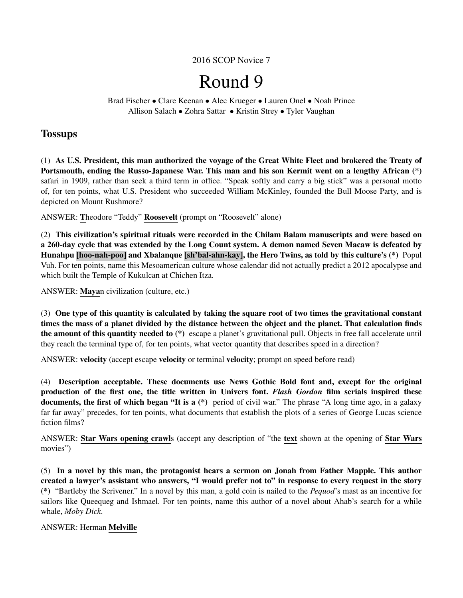2016 SCOP Novice 7

# Round 9

Brad Fischer • Clare Keenan • Alec Krueger • Lauren Onel • Noah Prince Allison Salach • Zohra Sattar • Kristin Strey • Tyler Vaughan

# **Tossups**

(1) As U.S. President, this man authorized the voyage of the Great White Fleet and brokered the Treaty of Portsmouth, ending the Russo-Japanese War. This man and his son Kermit went on a lengthy African (\*) safari in 1909, rather than seek a third term in office. "Speak softly and carry a big stick" was a personal motto of, for ten points, what U.S. President who succeeded William McKinley, founded the Bull Moose Party, and is depicted on Mount Rushmore?

ANSWER: Theodore "Teddy" Roosevelt (prompt on "Roosevelt" alone)

(2) This civilization's spiritual rituals were recorded in the Chilam Balam manuscripts and were based on a 260-day cycle that was extended by the Long Count system. A demon named Seven Macaw is defeated by Hunahpu [hoo-nah-poo] and Xbalanque [sh'bal-ahn-kay], the Hero Twins, as told by this culture's (\*) Popul Vuh. For ten points, name this Mesoamerican culture whose calendar did not actually predict a 2012 apocalypse and which built the Temple of Kukulcan at Chichen Itza.

ANSWER: Mayan civilization (culture, etc.)

(3) One type of this quantity is calculated by taking the square root of two times the gravitational constant times the mass of a planet divided by the distance between the object and the planet. That calculation finds the amount of this quantity needed to (\*) escape a planet's gravitational pull. Objects in free fall accelerate until they reach the terminal type of, for ten points, what vector quantity that describes speed in a direction?

ANSWER: velocity (accept escape velocity or terminal velocity; prompt on speed before read)

(4) Description acceptable. These documents use News Gothic Bold font and, except for the original production of the first one, the title written in Univers font. *Flash Gordon* film serials inspired these documents, the first of which began "It is a (\*) period of civil war." The phrase "A long time ago, in a galaxy far far away" precedes, for ten points, what documents that establish the plots of a series of George Lucas science fiction films?

ANSWER: Star Wars opening crawls (accept any description of "the text shown at the opening of Star Wars movies")

(5) In a novel by this man, the protagonist hears a sermon on Jonah from Father Mapple. This author created a lawyer's assistant who answers, "I would prefer not to" in response to every request in the story (\*) "Bartleby the Scrivener." In a novel by this man, a gold coin is nailed to the *Pequod*'s mast as an incentive for sailors like Queequeg and Ishmael. For ten points, name this author of a novel about Ahab's search for a while whale, *Moby Dick*.

# ANSWER: Herman Melville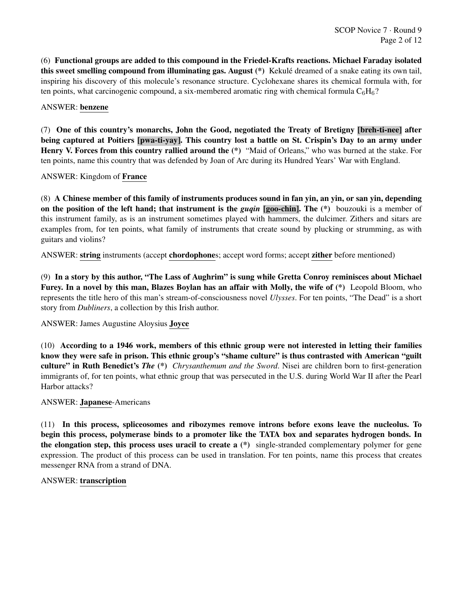(6) Functional groups are added to this compound in the Friedel-Krafts reactions. Michael Faraday isolated this sweet smelling compound from illuminating gas. August (\*) Kekule dreamed of a snake eating its own tail, ´ inspiring his discovery of this molecule's resonance structure. Cyclohexane shares its chemical formula with, for ten points, what carcinogenic compound, a six-membered aromatic ring with chemical formula  $C_6H_6$ ?

# ANSWER: benzene

(7) One of this country's monarchs, John the Good, negotiated the Treaty of Bretigny [breh-ti-nee] after being captured at Poitiers [pwa-ti-yay]. This country lost a battle on St. Crispin's Day to an army under Henry V. Forces from this country rallied around the (\*) "Maid of Orleans," who was burned at the stake. For ten points, name this country that was defended by Joan of Arc during its Hundred Years' War with England.

ANSWER: Kingdom of France

(8) A Chinese member of this family of instruments produces sound in fan yin, an yin, or san yin, depending on the position of the left hand; that instrument is the *guqin* [goo-chin]. The (\*) bouzouki is a member of this instrument family, as is an instrument sometimes played with hammers, the dulcimer. Zithers and sitars are examples from, for ten points, what family of instruments that create sound by plucking or strumming, as with guitars and violins?

ANSWER: string instruments (accept chordophones; accept word forms; accept zither before mentioned)

(9) In a story by this author, "The Lass of Aughrim" is sung while Gretta Conroy reminisces about Michael Furey. In a novel by this man, Blazes Boylan has an affair with Molly, the wife of (\*) Leopold Bloom, who represents the title hero of this man's stream-of-consciousness novel *Ulysses*. For ten points, "The Dead" is a short story from *Dubliners*, a collection by this Irish author.

ANSWER: James Augustine Aloysius Joyce

(10) According to a 1946 work, members of this ethnic group were not interested in letting their families know they were safe in prison. This ethnic group's "shame culture" is thus contrasted with American "guilt culture" in Ruth Benedict's *The* (\*) *Chrysanthemum and the Sword*. Nisei are children born to first-generation immigrants of, for ten points, what ethnic group that was persecuted in the U.S. during World War II after the Pearl Harbor attacks?

#### ANSWER: Japanese-Americans

(11) In this process, spliceosomes and ribozymes remove introns before exons leave the nucleolus. To begin this process, polymerase binds to a promoter like the TATA box and separates hydrogen bonds. In the elongation step, this process uses uracil to create a (\*) single-stranded complementary polymer for gene expression. The product of this process can be used in translation. For ten points, name this process that creates messenger RNA from a strand of DNA.

#### ANSWER: transcription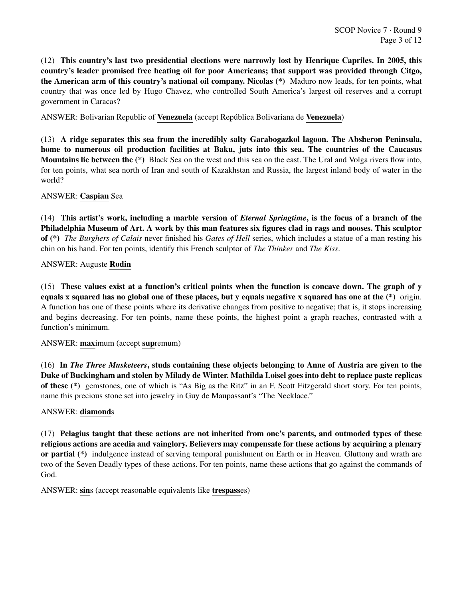(12) This country's last two presidential elections were narrowly lost by Henrique Capriles. In 2005, this country's leader promised free heating oil for poor Americans; that support was provided through Citgo, the American arm of this country's national oil company. Nicolas (\*) Maduro now leads, for ten points, what country that was once led by Hugo Chavez, who controlled South America's largest oil reserves and a corrupt government in Caracas?

ANSWER: Bolivarian Republic of Venezuela (accept República Bolivariana de Venezuela)

(13) A ridge separates this sea from the incredibly salty Garabogazkol lagoon. The Absheron Peninsula, home to numerous oil production facilities at Baku, juts into this sea. The countries of the Caucasus Mountains lie between the (\*) Black Sea on the west and this sea on the east. The Ural and Volga rivers flow into, for ten points, what sea north of Iran and south of Kazakhstan and Russia, the largest inland body of water in the world?

# ANSWER: Caspian Sea

(14) This artist's work, including a marble version of *Eternal Springtime*, is the focus of a branch of the Philadelphia Museum of Art. A work by this man features six figures clad in rags and nooses. This sculptor of (\*) *The Burghers of Calais* never finished his *Gates of Hell* series, which includes a statue of a man resting his chin on his hand. For ten points, identify this French sculptor of *The Thinker* and *The Kiss*.

# ANSWER: Auguste Rodin

(15) These values exist at a function's critical points when the function is concave down. The graph of y equals x squared has no global one of these places, but y equals negative x squared has one at the (\*) origin. A function has one of these points where its derivative changes from positive to negative; that is, it stops increasing and begins decreasing. For ten points, name these points, the highest point a graph reaches, contrasted with a function's minimum.

#### ANSWER: maximum (accept supremum)

(16) In *The Three Musketeers*, studs containing these objects belonging to Anne of Austria are given to the Duke of Buckingham and stolen by Milady de Winter. Mathilda Loisel goes into debt to replace paste replicas of these (\*) gemstones, one of which is "As Big as the Ritz" in an F. Scott Fitzgerald short story. For ten points, name this precious stone set into jewelry in Guy de Maupassant's "The Necklace."

# ANSWER: diamonds

(17) Pelagius taught that these actions are not inherited from one's parents, and outmoded types of these religious actions are acedia and vainglory. Believers may compensate for these actions by acquiring a plenary or partial (\*) indulgence instead of serving temporal punishment on Earth or in Heaven. Gluttony and wrath are two of the Seven Deadly types of these actions. For ten points, name these actions that go against the commands of God.

ANSWER: sins (accept reasonable equivalents like trespasses)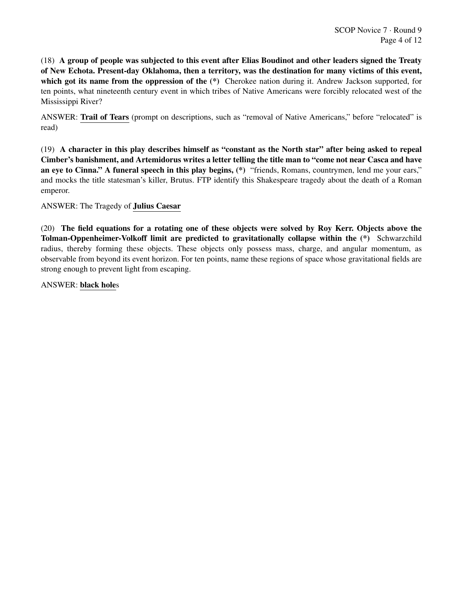(18) A group of people was subjected to this event after Elias Boudinot and other leaders signed the Treaty of New Echota. Present-day Oklahoma, then a territory, was the destination for many victims of this event, which got its name from the oppression of the  $(*)$  Cherokee nation during it. Andrew Jackson supported, for ten points, what nineteenth century event in which tribes of Native Americans were forcibly relocated west of the Mississippi River?

ANSWER: Trail of Tears (prompt on descriptions, such as "removal of Native Americans," before "relocated" is read)

(19) A character in this play describes himself as "constant as the North star" after being asked to repeal Cimber's banishment, and Artemidorus writes a letter telling the title man to "come not near Casca and have an eye to Cinna." A funeral speech in this play begins, (\*) "friends, Romans, countrymen, lend me your ears," and mocks the title statesman's killer, Brutus. FTP identify this Shakespeare tragedy about the death of a Roman emperor.

ANSWER: The Tragedy of Julius Caesar

(20) The field equations for a rotating one of these objects were solved by Roy Kerr. Objects above the Tolman-Oppenheimer-Volkoff limit are predicted to gravitationally collapse within the (\*) Schwarzchild radius, thereby forming these objects. These objects only possess mass, charge, and angular momentum, as observable from beyond its event horizon. For ten points, name these regions of space whose gravitational fields are strong enough to prevent light from escaping.

ANSWER: black holes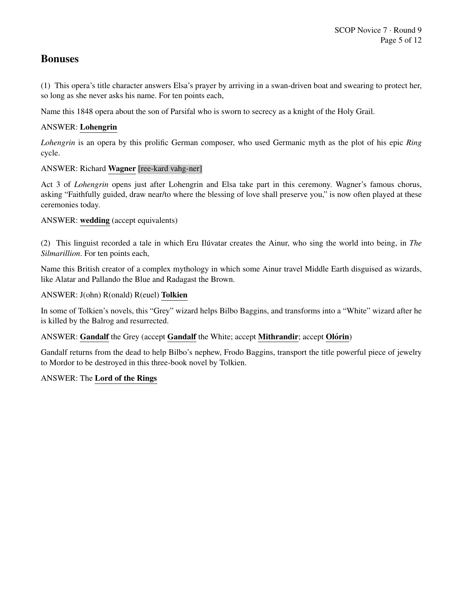# Bonuses

(1) This opera's title character answers Elsa's prayer by arriving in a swan-driven boat and swearing to protect her, so long as she never asks his name. For ten points each,

Name this 1848 opera about the son of Parsifal who is sworn to secrecy as a knight of the Holy Grail.

# ANSWER: Lohengrin

*Lohengrin* is an opera by this prolific German composer, who used Germanic myth as the plot of his epic *Ring* cycle.

# ANSWER: Richard Wagner [ree-kard vahg-ner]

Act 3 of *Lohengrin* opens just after Lohengrin and Elsa take part in this ceremony. Wagner's famous chorus, asking "Faithfully guided, draw near/to where the blessing of love shall preserve you," is now often played at these ceremonies today.

# ANSWER: wedding (accept equivalents)

(2) This linguist recorded a tale in which Eru Iluvatar creates the Ainur, who sing the world into being, in ´ *The Silmarillion*. For ten points each,

Name this British creator of a complex mythology in which some Ainur travel Middle Earth disguised as wizards, like Alatar and Pallando the Blue and Radagast the Brown.

# ANSWER: J(ohn) R(onald) R(euel) Tolkien

In some of Tolkien's novels, this "Grey" wizard helps Bilbo Baggins, and transforms into a "White" wizard after he is killed by the Balrog and resurrected.

# ANSWER: Gandalf the Grey (accept Gandalf the White; accept Mithrandir; accept Olórin)

Gandalf returns from the dead to help Bilbo's nephew, Frodo Baggins, transport the title powerful piece of jewelry to Mordor to be destroyed in this three-book novel by Tolkien.

# ANSWER: The Lord of the Rings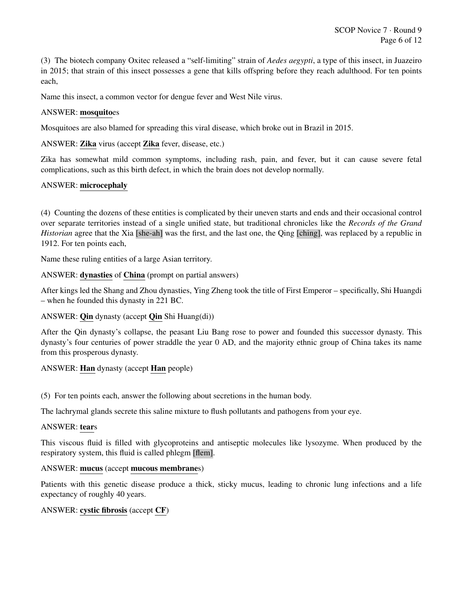(3) The biotech company Oxitec released a "self-limiting" strain of *Aedes aegypti*, a type of this insect, in Juazeiro in 2015; that strain of this insect possesses a gene that kills offspring before they reach adulthood. For ten points each,

Name this insect, a common vector for dengue fever and West Nile virus.

# ANSWER: mosquitoes

Mosquitoes are also blamed for spreading this viral disease, which broke out in Brazil in 2015.

ANSWER: Zika virus (accept Zika fever, disease, etc.)

Zika has somewhat mild common symptoms, including rash, pain, and fever, but it can cause severe fetal complications, such as this birth defect, in which the brain does not develop normally.

# ANSWER: microcephaly

(4) Counting the dozens of these entities is complicated by their uneven starts and ends and their occasional control over separate territories instead of a single unified state, but traditional chronicles like the *Records of the Grand Historian* agree that the Xia [she-ah] was the first, and the last one, the Qing [ching], was replaced by a republic in 1912. For ten points each,

Name these ruling entities of a large Asian territory.

ANSWER: dynasties of China (prompt on partial answers)

After kings led the Shang and Zhou dynasties, Ying Zheng took the title of First Emperor – specifically, Shi Huangdi – when he founded this dynasty in 221 BC.

ANSWER: **Qin** dynasty (accept **Qin** Shi Huang(di))

After the Qin dynasty's collapse, the peasant Liu Bang rose to power and founded this successor dynasty. This dynasty's four centuries of power straddle the year 0 AD, and the majority ethnic group of China takes its name from this prosperous dynasty.

ANSWER: Han dynasty (accept Han people)

(5) For ten points each, answer the following about secretions in the human body.

The lachrymal glands secrete this saline mixture to flush pollutants and pathogens from your eye.

# ANSWER: tears

This viscous fluid is filled with glycoproteins and antiseptic molecules like lysozyme. When produced by the respiratory system, this fluid is called phlegm [flem].

# ANSWER: mucus (accept mucous membranes)

Patients with this genetic disease produce a thick, sticky mucus, leading to chronic lung infections and a life expectancy of roughly 40 years.

# ANSWER: cystic fibrosis (accept CF)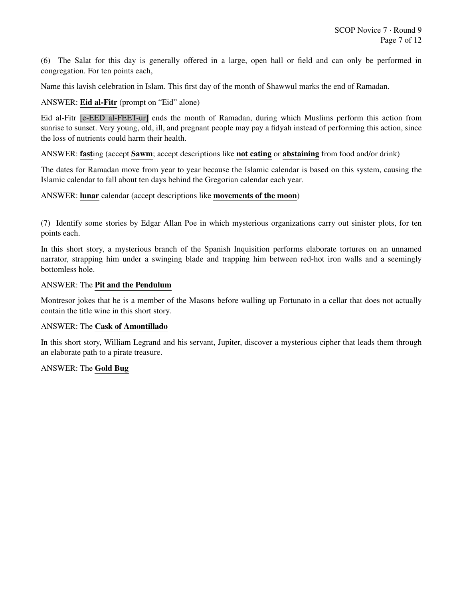(6) The Salat for this day is generally offered in a large, open hall or field and can only be performed in congregation. For ten points each,

Name this lavish celebration in Islam. This first day of the month of Shawwul marks the end of Ramadan.

# ANSWER: Eid al-Fitr (prompt on "Eid" alone)

Eid al-Fitr [e-EED al-FEET-ur] ends the month of Ramadan, during which Muslims perform this action from sunrise to sunset. Very young, old, ill, and pregnant people may pay a fidyah instead of performing this action, since the loss of nutrients could harm their health.

ANSWER: fasting (accept Sawm; accept descriptions like not eating or abstaining from food and/or drink)

The dates for Ramadan move from year to year because the Islamic calendar is based on this system, causing the Islamic calendar to fall about ten days behind the Gregorian calendar each year.

# ANSWER: lunar calendar (accept descriptions like movements of the moon)

(7) Identify some stories by Edgar Allan Poe in which mysterious organizations carry out sinister plots, for ten points each.

In this short story, a mysterious branch of the Spanish Inquisition performs elaborate tortures on an unnamed narrator, strapping him under a swinging blade and trapping him between red-hot iron walls and a seemingly bottomless hole.

#### ANSWER: The Pit and the Pendulum

Montresor jokes that he is a member of the Masons before walling up Fortunato in a cellar that does not actually contain the title wine in this short story.

# ANSWER: The Cask of Amontillado

In this short story, William Legrand and his servant, Jupiter, discover a mysterious cipher that leads them through an elaborate path to a pirate treasure.

# ANSWER: The Gold Bug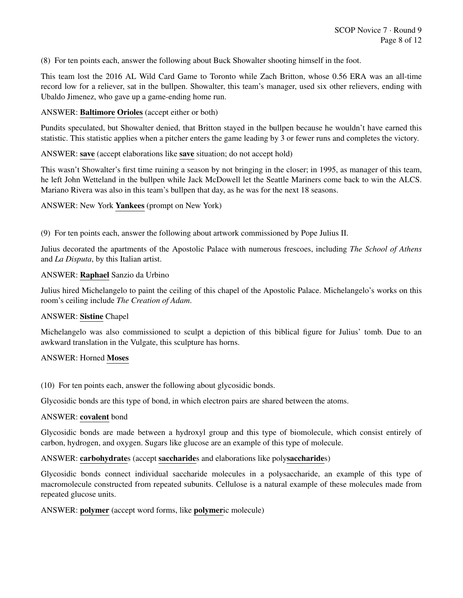(8) For ten points each, answer the following about Buck Showalter shooting himself in the foot.

This team lost the 2016 AL Wild Card Game to Toronto while Zach Britton, whose 0.56 ERA was an all-time record low for a reliever, sat in the bullpen. Showalter, this team's manager, used six other relievers, ending with Ubaldo Jimenez, who gave up a game-ending home run.

ANSWER: Baltimore Orioles (accept either or both)

Pundits speculated, but Showalter denied, that Britton stayed in the bullpen because he wouldn't have earned this statistic. This statistic applies when a pitcher enters the game leading by 3 or fewer runs and completes the victory.

ANSWER: save (accept elaborations like save situation; do not accept hold)

This wasn't Showalter's first time ruining a season by not bringing in the closer; in 1995, as manager of this team, he left John Wetteland in the bullpen while Jack McDowell let the Seattle Mariners come back to win the ALCS. Mariano Rivera was also in this team's bullpen that day, as he was for the next 18 seasons.

ANSWER: New York Yankees (prompt on New York)

(9) For ten points each, answer the following about artwork commissioned by Pope Julius II.

Julius decorated the apartments of the Apostolic Palace with numerous frescoes, including *The School of Athens* and *La Disputa*, by this Italian artist.

#### ANSWER: Raphael Sanzio da Urbino

Julius hired Michelangelo to paint the ceiling of this chapel of the Apostolic Palace. Michelangelo's works on this room's ceiling include *The Creation of Adam*.

#### ANSWER: Sistine Chapel

Michelangelo was also commissioned to sculpt a depiction of this biblical figure for Julius' tomb. Due to an awkward translation in the Vulgate, this sculpture has horns.

#### ANSWER: Horned Moses

(10) For ten points each, answer the following about glycosidic bonds.

Glycosidic bonds are this type of bond, in which electron pairs are shared between the atoms.

#### ANSWER: covalent bond

Glycosidic bonds are made between a hydroxyl group and this type of biomolecule, which consist entirely of carbon, hydrogen, and oxygen. Sugars like glucose are an example of this type of molecule.

#### ANSWER: carbohydrates (accept saccharides and elaborations like polysaccharides)

Glycosidic bonds connect individual saccharide molecules in a polysaccharide, an example of this type of macromolecule constructed from repeated subunits. Cellulose is a natural example of these molecules made from repeated glucose units.

#### ANSWER: polymer (accept word forms, like polymeric molecule)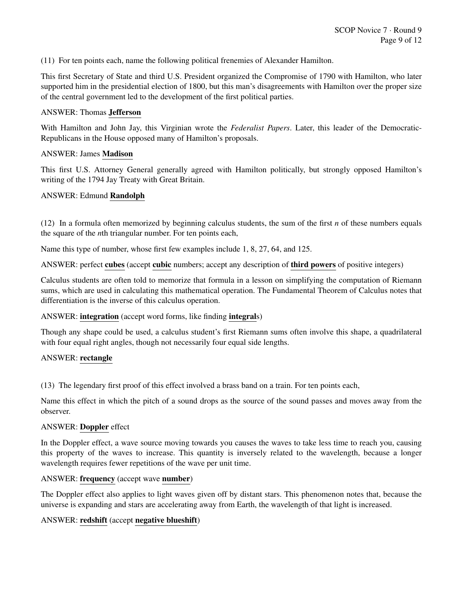(11) For ten points each, name the following political frenemies of Alexander Hamilton.

This first Secretary of State and third U.S. President organized the Compromise of 1790 with Hamilton, who later supported him in the presidential election of 1800, but this man's disagreements with Hamilton over the proper size of the central government led to the development of the first political parties.

# ANSWER: Thomas Jefferson

With Hamilton and John Jay, this Virginian wrote the *Federalist Papers*. Later, this leader of the Democratic-Republicans in the House opposed many of Hamilton's proposals.

# ANSWER: James Madison

This first U.S. Attorney General generally agreed with Hamilton politically, but strongly opposed Hamilton's writing of the 1794 Jay Treaty with Great Britain.

#### ANSWER: Edmund Randolph

(12) In a formula often memorized by beginning calculus students, the sum of the first *n* of these numbers equals the square of the *n*th triangular number. For ten points each,

Name this type of number, whose first few examples include 1, 8, 27, 64, and 125.

ANSWER: perfect cubes (accept cubic numbers; accept any description of third powers of positive integers)

Calculus students are often told to memorize that formula in a lesson on simplifying the computation of Riemann sums, which are used in calculating this mathematical operation. The Fundamental Theorem of Calculus notes that differentiation is the inverse of this calculus operation.

# ANSWER: integration (accept word forms, like finding integrals)

Though any shape could be used, a calculus student's first Riemann sums often involve this shape, a quadrilateral with four equal right angles, though not necessarily four equal side lengths.

#### ANSWER: rectangle

(13) The legendary first proof of this effect involved a brass band on a train. For ten points each,

Name this effect in which the pitch of a sound drops as the source of the sound passes and moves away from the observer.

#### ANSWER: Doppler effect

In the Doppler effect, a wave source moving towards you causes the waves to take less time to reach you, causing this property of the waves to increase. This quantity is inversely related to the wavelength, because a longer wavelength requires fewer repetitions of the wave per unit time.

#### ANSWER: frequency (accept wave number)

The Doppler effect also applies to light waves given off by distant stars. This phenomenon notes that, because the universe is expanding and stars are accelerating away from Earth, the wavelength of that light is increased.

# ANSWER: redshift (accept negative blueshift)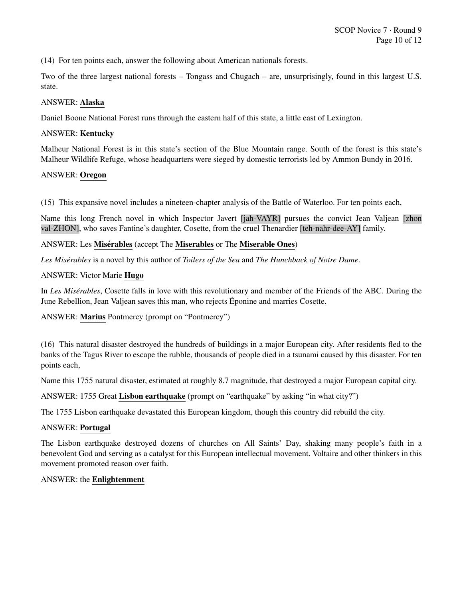(14) For ten points each, answer the following about American nationals forests.

Two of the three largest national forests – Tongass and Chugach – are, unsurprisingly, found in this largest U.S. state.

# ANSWER: Alaska

Daniel Boone National Forest runs through the eastern half of this state, a little east of Lexington.

# ANSWER: Kentucky

Malheur National Forest is in this state's section of the Blue Mountain range. South of the forest is this state's Malheur Wildlife Refuge, whose headquarters were sieged by domestic terrorists led by Ammon Bundy in 2016.

#### ANSWER: Oregon

(15) This expansive novel includes a nineteen-chapter analysis of the Battle of Waterloo. For ten points each,

Name this long French novel in which Inspector Javert [jah-VAYR] pursues the convict Jean Valjean [zhon val-ZHON], who saves Fantine's daughter, Cosette, from the cruel Thenardier [teh-nahr-dee-AY] family.

#### ANSWER: Les Misérables (accept The Miserables or The Miserable Ones)

*Les Miserables ´* is a novel by this author of *Toilers of the Sea* and *The Hunchback of Notre Dame*.

#### ANSWER: Victor Marie Hugo

In *Les Misérables*, Cosette falls in love with this revolutionary and member of the Friends of the ABC. During the June Rebellion, Jean Valjean saves this man, who rejects Eponine and marries Cosette. ´

# ANSWER: Marius Pontmercy (prompt on "Pontmercy")

(16) This natural disaster destroyed the hundreds of buildings in a major European city. After residents fled to the banks of the Tagus River to escape the rubble, thousands of people died in a tsunami caused by this disaster. For ten points each,

Name this 1755 natural disaster, estimated at roughly 8.7 magnitude, that destroyed a major European capital city.

ANSWER: 1755 Great Lisbon earthquake (prompt on "earthquake" by asking "in what city?")

The 1755 Lisbon earthquake devastated this European kingdom, though this country did rebuild the city.

#### ANSWER: Portugal

The Lisbon earthquake destroyed dozens of churches on All Saints' Day, shaking many people's faith in a benevolent God and serving as a catalyst for this European intellectual movement. Voltaire and other thinkers in this movement promoted reason over faith.

#### ANSWER: the Enlightenment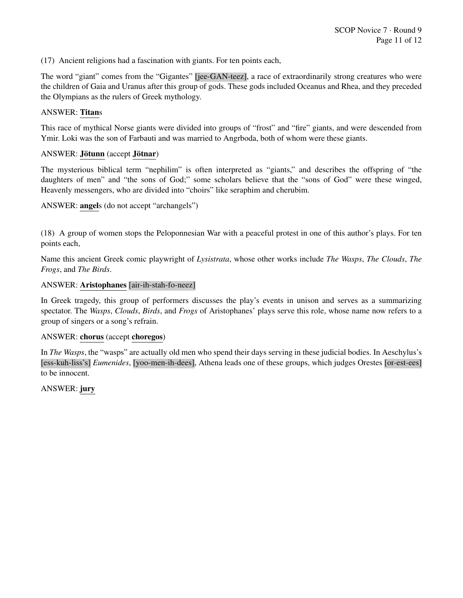(17) Ancient religions had a fascination with giants. For ten points each,

The word "giant" comes from the "Gigantes" [jee-GAN-teez], a race of extraordinarily strong creatures who were the children of Gaia and Uranus after this group of gods. These gods included Oceanus and Rhea, and they preceded the Olympians as the rulers of Greek mythology.

#### ANSWER: Titans

This race of mythical Norse giants were divided into groups of "frost" and "fire" giants, and were descended from Ymir. Loki was the son of Farbauti and was married to Angrboda, both of whom were these giants.

# ANSWER: Jötunn (accept Jötnar)

The mysterious biblical term "nephilim" is often interpreted as "giants," and describes the offspring of "the daughters of men" and "the sons of God;" some scholars believe that the "sons of God" were these winged, Heavenly messengers, who are divided into "choirs" like seraphim and cherubim.

ANSWER: angels (do not accept "archangels")

(18) A group of women stops the Peloponnesian War with a peaceful protest in one of this author's plays. For ten points each,

Name this ancient Greek comic playwright of *Lysistrata*, whose other works include *The Wasps*, *The Clouds*, *The Frogs*, and *The Birds*.

#### ANSWER: Aristophanes [air-ih-stah-fo-neez]

In Greek tragedy, this group of performers discusses the play's events in unison and serves as a summarizing spectator. The *Wasps*, *Clouds*, *Birds*, and *Frogs* of Aristophanes' plays serve this role, whose name now refers to a group of singers or a song's refrain.

#### ANSWER: chorus (accept choregos)

In *The Wasps*, the "wasps" are actually old men who spend their days serving in these judicial bodies. In Aeschylus's [ess-kuh-liss's] *Eumenides*, [yoo-men-ih-dees], Athena leads one of these groups, which judges Orestes [or-est-ees] to be innocent.

ANSWER: jury